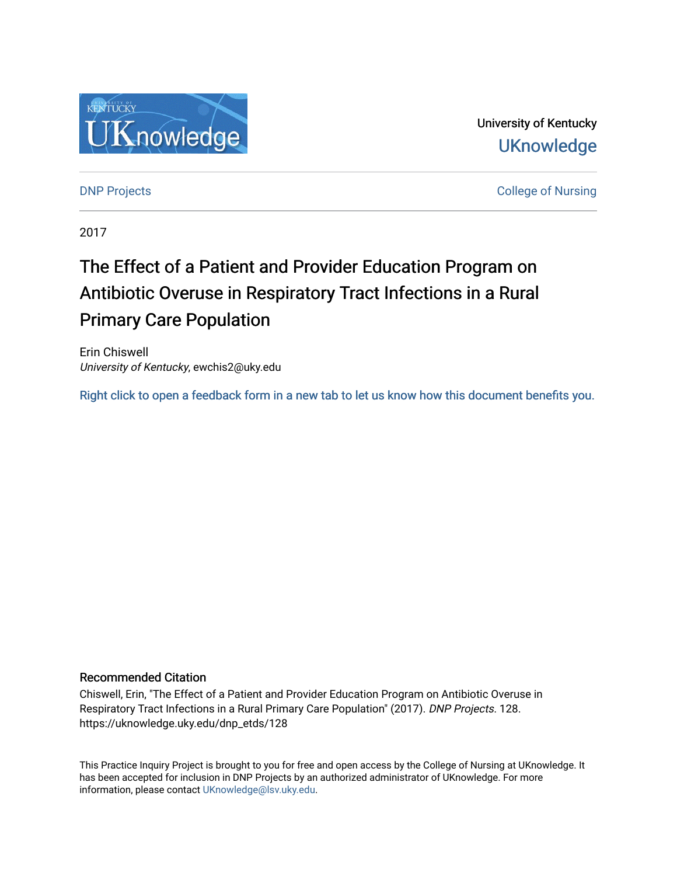

University of Kentucky **UKnowledge** 

**DNP Projects** College of Nursing

2017

# The Effect of a Patient and Provider Education Program on Antibiotic Overuse in Respiratory Tract Infections in a Rural Primary Care Population

Erin Chiswell University of Kentucky, ewchis2@uky.edu

[Right click to open a feedback form in a new tab to let us know how this document benefits you.](https://uky.az1.qualtrics.com/jfe/form/SV_9mq8fx2GnONRfz7)

### Recommended Citation

Chiswell, Erin, "The Effect of a Patient and Provider Education Program on Antibiotic Overuse in Respiratory Tract Infections in a Rural Primary Care Population" (2017). DNP Projects. 128. https://uknowledge.uky.edu/dnp\_etds/128

This Practice Inquiry Project is brought to you for free and open access by the College of Nursing at UKnowledge. It has been accepted for inclusion in DNP Projects by an authorized administrator of UKnowledge. For more information, please contact [UKnowledge@lsv.uky.edu](mailto:UKnowledge@lsv.uky.edu).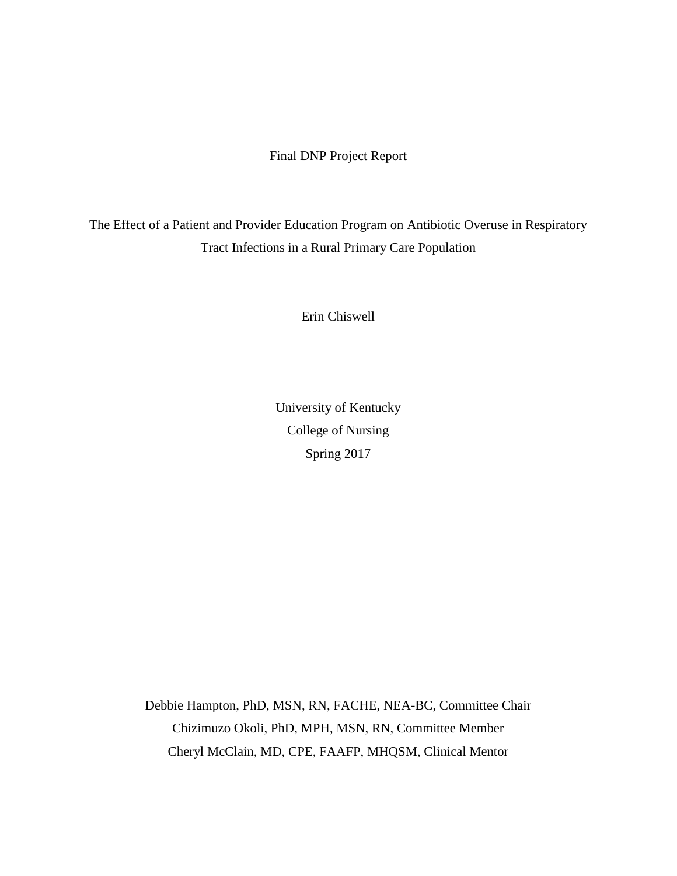# Final DNP Project Report

The Effect of a Patient and Provider Education Program on Antibiotic Overuse in Respiratory Tract Infections in a Rural Primary Care Population

Erin Chiswell

University of Kentucky College of Nursing Spring 2017

Debbie Hampton, PhD, MSN, RN, FACHE, NEA-BC, Committee Chair Chizimuzo Okoli, PhD, MPH, MSN, RN, Committee Member Cheryl McClain, MD, CPE, FAAFP, MHQSM, Clinical Mentor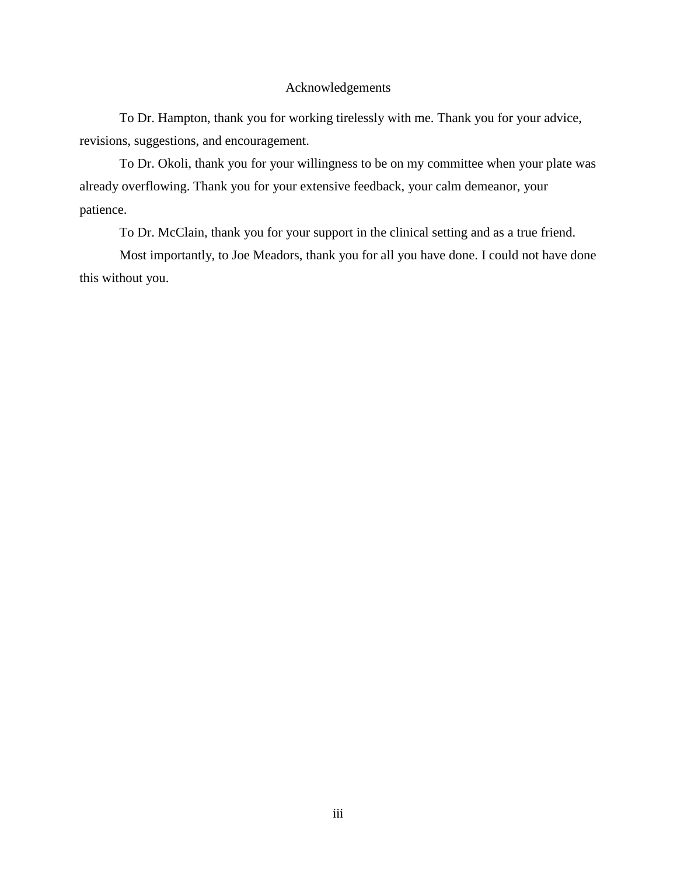# Acknowledgements

<span id="page-2-0"></span>To Dr. Hampton, thank you for working tirelessly with me. Thank you for your advice, revisions, suggestions, and encouragement.

To Dr. Okoli, thank you for your willingness to be on my committee when your plate was already overflowing. Thank you for your extensive feedback, your calm demeanor, your patience.

To Dr. McClain, thank you for your support in the clinical setting and as a true friend.

Most importantly, to Joe Meadors, thank you for all you have done. I could not have done this without you.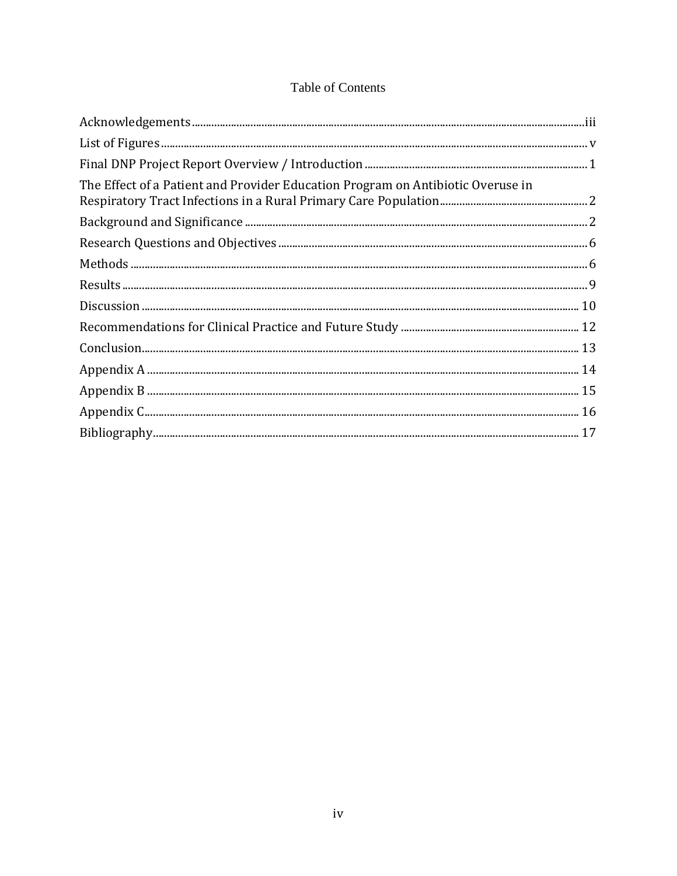# Table of Contents

| The Effect of a Patient and Provider Education Program on Antibiotic Overuse in                                                                                                                                                                                                                                                                                                                                                                               |  |
|---------------------------------------------------------------------------------------------------------------------------------------------------------------------------------------------------------------------------------------------------------------------------------------------------------------------------------------------------------------------------------------------------------------------------------------------------------------|--|
|                                                                                                                                                                                                                                                                                                                                                                                                                                                               |  |
|                                                                                                                                                                                                                                                                                                                                                                                                                                                               |  |
| $\hbox{\bf Methods} \, \hbox{\bf \dots} \, \hbox{\bf \dots} \, \hbox{\bf \dots} \, \hbox{\bf \dots} \, \hbox{\bf \dots} \, \hbox{\bf \dots} \, \hbox{\bf \dots} \, \hbox{\bf \dots} \, \hbox{\bf \dots} \, \hbox{\bf \dots} \, \hbox{\bf \dots} \, \hbox{\bf \dots} \, \hbox{\bf \dots} \, \hbox{\bf \dots} \, \hbox{\bf \dots} \, \hbox{\bf \dots} \, \hbox{\bf \dots} \, \hbox{\bf \dots} \, \hbox{\bf \dots} \, \hbox{\bf \dots} \, \hbox{\bf \dots} \, \$ |  |
|                                                                                                                                                                                                                                                                                                                                                                                                                                                               |  |
|                                                                                                                                                                                                                                                                                                                                                                                                                                                               |  |
|                                                                                                                                                                                                                                                                                                                                                                                                                                                               |  |
|                                                                                                                                                                                                                                                                                                                                                                                                                                                               |  |
|                                                                                                                                                                                                                                                                                                                                                                                                                                                               |  |
|                                                                                                                                                                                                                                                                                                                                                                                                                                                               |  |
|                                                                                                                                                                                                                                                                                                                                                                                                                                                               |  |
|                                                                                                                                                                                                                                                                                                                                                                                                                                                               |  |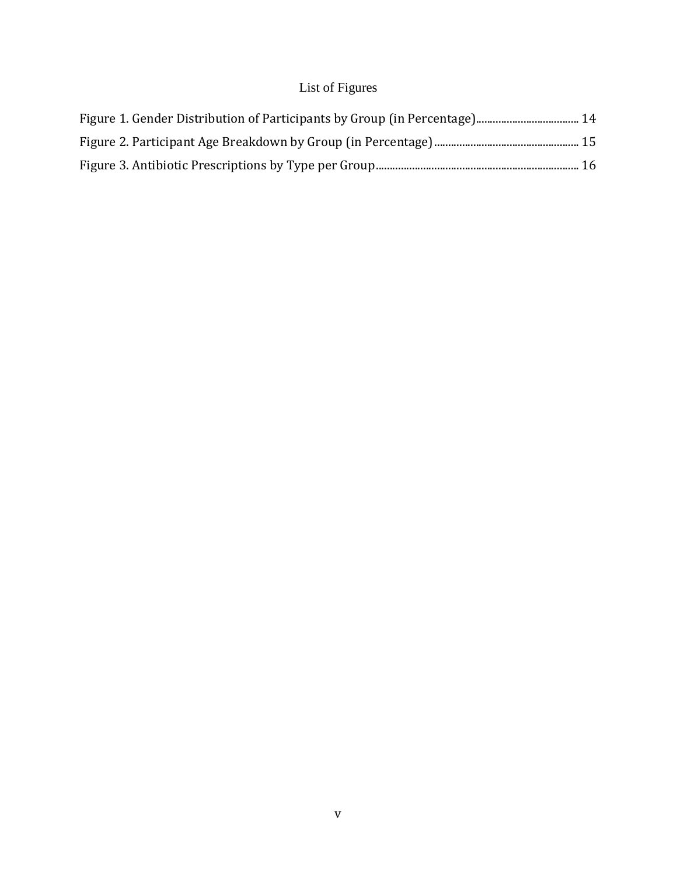# List of Figures

<span id="page-4-0"></span>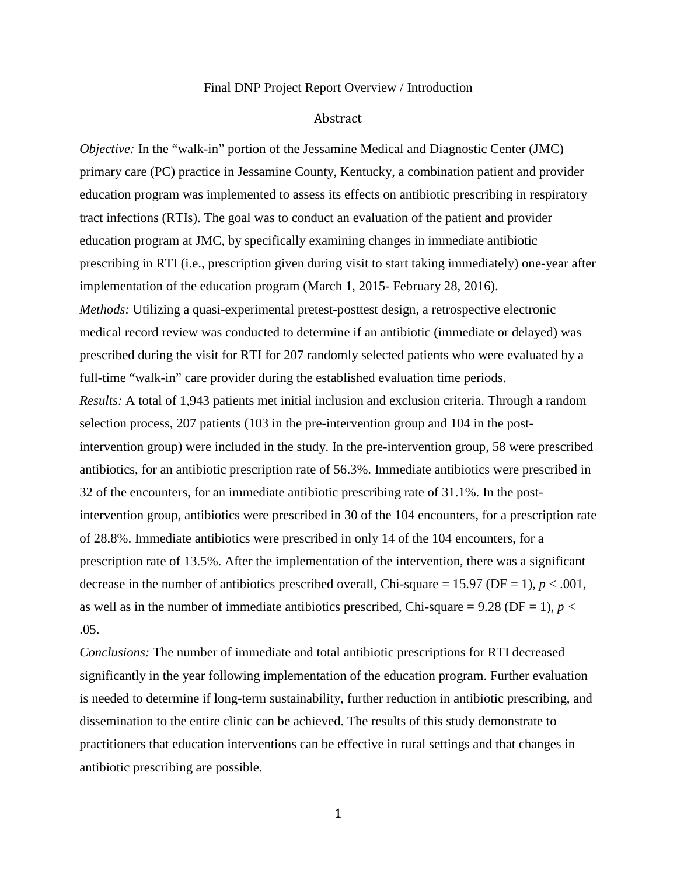#### Final DNP Project Report Overview / Introduction

#### Abstract

<span id="page-5-0"></span>*Objective:* In the "walk-in" portion of the Jessamine Medical and Diagnostic Center (JMC) primary care (PC) practice in Jessamine County, Kentucky, a combination patient and provider education program was implemented to assess its effects on antibiotic prescribing in respiratory tract infections (RTIs). The goal was to conduct an evaluation of the patient and provider education program at JMC, by specifically examining changes in immediate antibiotic prescribing in RTI (i.e., prescription given during visit to start taking immediately) one-year after implementation of the education program (March 1, 2015- February 28, 2016). *Methods:* Utilizing a quasi-experimental pretest-posttest design, a retrospective electronic medical record review was conducted to determine if an antibiotic (immediate or delayed) was prescribed during the visit for RTI for 207 randomly selected patients who were evaluated by a full-time "walk-in" care provider during the established evaluation time periods. *Results:* A total of 1,943 patients met initial inclusion and exclusion criteria. Through a random selection process, 207 patients (103 in the pre-intervention group and 104 in the postintervention group) were included in the study. In the pre-intervention group, 58 were prescribed antibiotics, for an antibiotic prescription rate of 56.3%. Immediate antibiotics were prescribed in 32 of the encounters, for an immediate antibiotic prescribing rate of 31.1%. In the postintervention group, antibiotics were prescribed in 30 of the 104 encounters, for a prescription rate of 28.8%. Immediate antibiotics were prescribed in only 14 of the 104 encounters, for a prescription rate of 13.5%. After the implementation of the intervention, there was a significant decrease in the number of antibiotics prescribed overall, Chi-square = 15.97 ( $DF = 1$ ),  $p < .001$ , as well as in the number of immediate antibiotics prescribed, Chi-square  $= 9.28$  (DF  $= 1$ ),  $p <$ .05.

*Conclusions:* The number of immediate and total antibiotic prescriptions for RTI decreased significantly in the year following implementation of the education program. Further evaluation is needed to determine if long-term sustainability, further reduction in antibiotic prescribing, and dissemination to the entire clinic can be achieved. The results of this study demonstrate to practitioners that education interventions can be effective in rural settings and that changes in antibiotic prescribing are possible.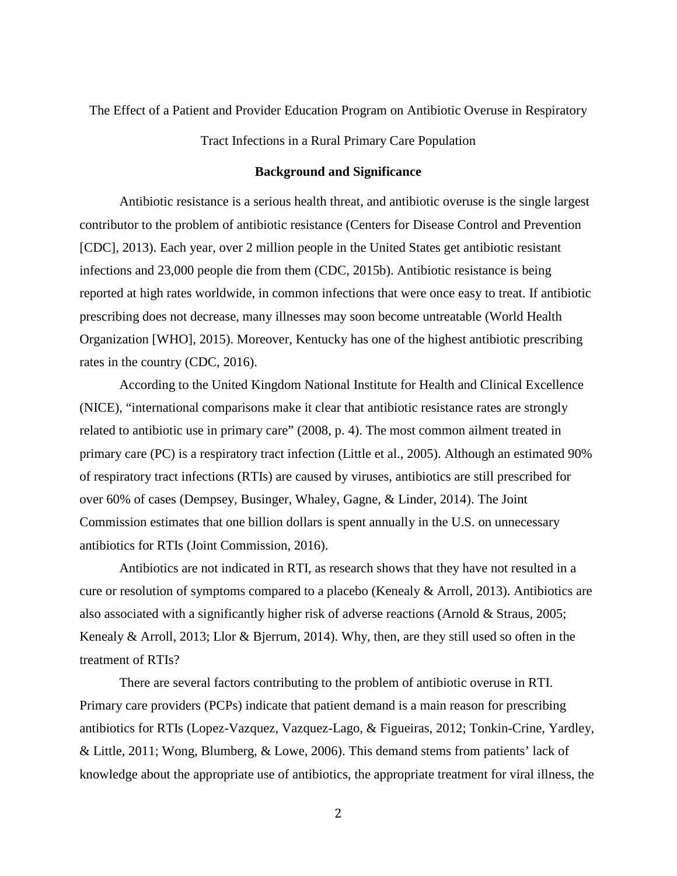<span id="page-6-0"></span>The Effect of a Patient and Provider Education Program on Antibiotic Overuse in Respiratory

Tract Infections in a Rural Primary Care Population

## **Background and Significance**

<span id="page-6-1"></span>Antibiotic resistance is a serious health threat, and antibiotic overuse is the single largest contributor to the problem of antibiotic resistance (Centers for Disease Control and Prevention [CDC], 2013). Each year, over 2 million people in the United States get antibiotic resistant infections and 23,000 people die from them (CDC, 2015b). Antibiotic resistance is being reported at high rates worldwide, in common infections that were once easy to treat. If antibiotic prescribing does not decrease, many illnesses may soon become untreatable (World Health Organization [WHO], 2015). Moreover, Kentucky has one of the highest antibiotic prescribing rates in the country (CDC, 2016).

According to the United Kingdom National Institute for Health and Clinical Excellence (NICE), "international comparisons make it clear that antibiotic resistance rates are strongly related to antibiotic use in primary care" (2008, p. 4). The most common ailment treated in primary care (PC) is a respiratory tract infection (Little et al., 2005). Although an estimated 90% of respiratory tract infections (RTIs) are caused by viruses, antibiotics are still prescribed for over 60% of cases (Dempsey, Businger, Whaley, Gagne, & Linder, 2014). The Joint Commission estimates that one billion dollars is spent annually in the U.S. on unnecessary antibiotics for RTIs (Joint Commission, 2016).

Antibiotics are not indicated in RTI, as research shows that they have not resulted in a cure or resolution of symptoms compared to a placebo (Kenealy & Arroll, 2013). Antibiotics are also associated with a significantly higher risk of adverse reactions (Arnold & Straus, 2005; Kenealy & Arroll, 2013; Llor & Bjerrum, 2014). Why, then, are they still used so often in the treatment of RTIs?

There are several factors contributing to the problem of antibiotic overuse in RTI. Primary care providers (PCPs) indicate that patient demand is a main reason for prescribing antibiotics for RTIs (Lopez-Vazquez, Vazquez-Lago, & Figueiras, 2012; Tonkin-Crine, Yardley, & Little, 2011; Wong, Blumberg, & Lowe, 2006). This demand stems from patients' lack of knowledge about the appropriate use of antibiotics, the appropriate treatment for viral illness, the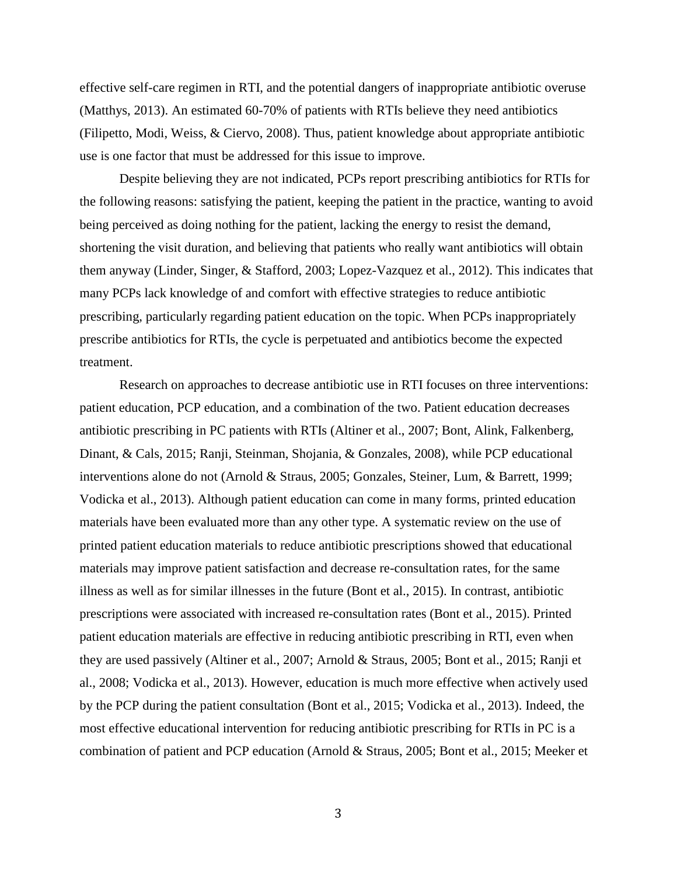effective self-care regimen in RTI, and the potential dangers of inappropriate antibiotic overuse (Matthys, 2013). An estimated 60-70% of patients with RTIs believe they need antibiotics (Filipetto, Modi, Weiss, & Ciervo, 2008). Thus, patient knowledge about appropriate antibiotic use is one factor that must be addressed for this issue to improve.

Despite believing they are not indicated, PCPs report prescribing antibiotics for RTIs for the following reasons: satisfying the patient, keeping the patient in the practice, wanting to avoid being perceived as doing nothing for the patient, lacking the energy to resist the demand, shortening the visit duration, and believing that patients who really want antibiotics will obtain them anyway (Linder, Singer, & Stafford, 2003; Lopez-Vazquez et al., 2012). This indicates that many PCPs lack knowledge of and comfort with effective strategies to reduce antibiotic prescribing, particularly regarding patient education on the topic. When PCPs inappropriately prescribe antibiotics for RTIs, the cycle is perpetuated and antibiotics become the expected treatment.

Research on approaches to decrease antibiotic use in RTI focuses on three interventions: patient education, PCP education, and a combination of the two. Patient education decreases antibiotic prescribing in PC patients with RTIs (Altiner et al., 2007; Bont, Alink, Falkenberg, Dinant, & Cals, 2015; Ranji, Steinman, Shojania, & Gonzales, 2008), while PCP educational interventions alone do not (Arnold & Straus, 2005; Gonzales, Steiner, Lum, & Barrett, 1999; Vodicka et al., 2013). Although patient education can come in many forms, printed education materials have been evaluated more than any other type. A systematic review on the use of printed patient education materials to reduce antibiotic prescriptions showed that educational materials may improve patient satisfaction and decrease re-consultation rates, for the same illness as well as for similar illnesses in the future (Bont et al., 2015). In contrast, antibiotic prescriptions were associated with increased re-consultation rates (Bont et al., 2015). Printed patient education materials are effective in reducing antibiotic prescribing in RTI, even when they are used passively (Altiner et al., 2007; Arnold & Straus, 2005; Bont et al., 2015; Ranji et al., 2008; Vodicka et al., 2013). However, education is much more effective when actively used by the PCP during the patient consultation (Bont et al., 2015; Vodicka et al., 2013). Indeed, the most effective educational intervention for reducing antibiotic prescribing for RTIs in PC is a combination of patient and PCP education (Arnold & Straus, 2005; Bont et al., 2015; Meeker et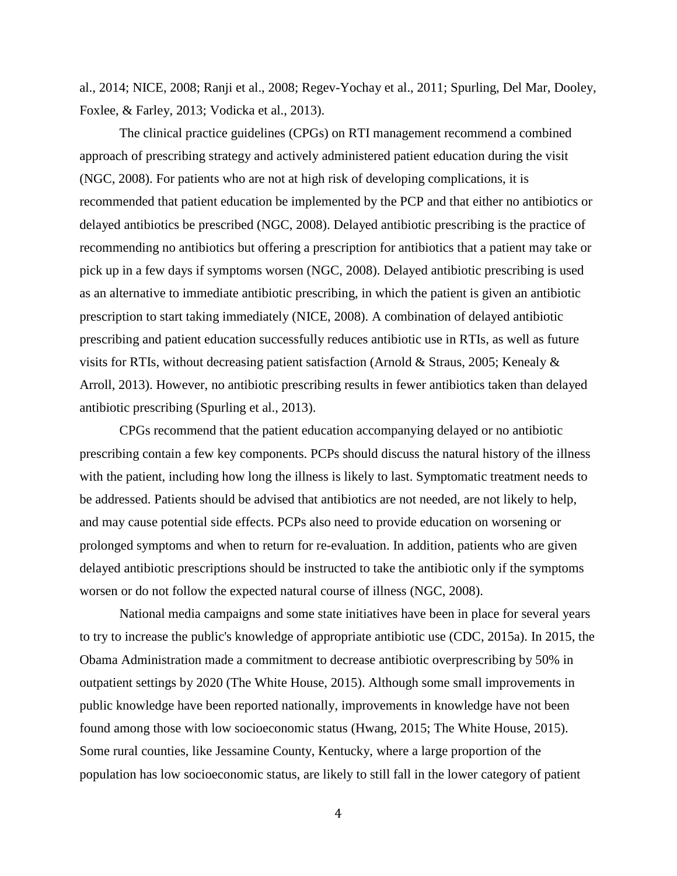al., 2014; NICE, 2008; Ranji et al., 2008; Regev-Yochay et al., 2011; Spurling, Del Mar, Dooley, Foxlee, & Farley, 2013; Vodicka et al., 2013).

The clinical practice guidelines (CPGs) on RTI management recommend a combined approach of prescribing strategy and actively administered patient education during the visit (NGC, 2008). For patients who are not at high risk of developing complications, it is recommended that patient education be implemented by the PCP and that either no antibiotics or delayed antibiotics be prescribed (NGC, 2008). Delayed antibiotic prescribing is the practice of recommending no antibiotics but offering a prescription for antibiotics that a patient may take or pick up in a few days if symptoms worsen (NGC, 2008). Delayed antibiotic prescribing is used as an alternative to immediate antibiotic prescribing, in which the patient is given an antibiotic prescription to start taking immediately (NICE, 2008). A combination of delayed antibiotic prescribing and patient education successfully reduces antibiotic use in RTIs, as well as future visits for RTIs, without decreasing patient satisfaction (Arnold & Straus, 2005; Kenealy & Arroll, 2013). However, no antibiotic prescribing results in fewer antibiotics taken than delayed antibiotic prescribing (Spurling et al., 2013).

CPGs recommend that the patient education accompanying delayed or no antibiotic prescribing contain a few key components. PCPs should discuss the natural history of the illness with the patient, including how long the illness is likely to last. Symptomatic treatment needs to be addressed. Patients should be advised that antibiotics are not needed, are not likely to help, and may cause potential side effects. PCPs also need to provide education on worsening or prolonged symptoms and when to return for re-evaluation. In addition, patients who are given delayed antibiotic prescriptions should be instructed to take the antibiotic only if the symptoms worsen or do not follow the expected natural course of illness (NGC, 2008).

National media campaigns and some state initiatives have been in place for several years to try to increase the public's knowledge of appropriate antibiotic use (CDC, 2015a). In 2015, the Obama Administration made a commitment to decrease antibiotic overprescribing by 50% in outpatient settings by 2020 (The White House, 2015). Although some small improvements in public knowledge have been reported nationally, improvements in knowledge have not been found among those with low socioeconomic status (Hwang, 2015; The White House, 2015). Some rural counties, like Jessamine County, Kentucky, where a large proportion of the population has low socioeconomic status, are likely to still fall in the lower category of patient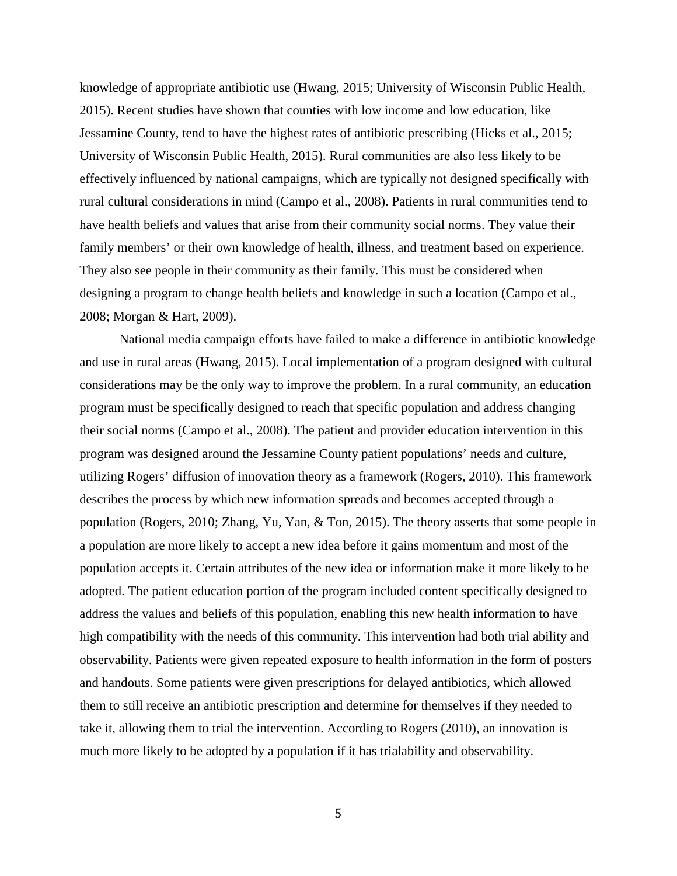knowledge of appropriate antibiotic use (Hwang, 2015; University of Wisconsin Public Health, 2015). Recent studies have shown that counties with low income and low education, like Jessamine County, tend to have the highest rates of antibiotic prescribing (Hicks et al., 2015; University of Wisconsin Public Health, 2015). Rural communities are also less likely to be effectively influenced by national campaigns, which are typically not designed specifically with rural cultural considerations in mind (Campo et al., 2008). Patients in rural communities tend to have health beliefs and values that arise from their community social norms. They value their family members' or their own knowledge of health, illness, and treatment based on experience. They also see people in their community as their family. This must be considered when designing a program to change health beliefs and knowledge in such a location (Campo et al., 2008; Morgan & Hart, 2009).

National media campaign efforts have failed to make a difference in antibiotic knowledge and use in rural areas (Hwang, 2015). Local implementation of a program designed with cultural considerations may be the only way to improve the problem. In a rural community, an education program must be specifically designed to reach that specific population and address changing their social norms (Campo et al., 2008). The patient and provider education intervention in this program was designed around the Jessamine County patient populations' needs and culture, utilizing Rogers' diffusion of innovation theory as a framework (Rogers, 2010). This framework describes the process by which new information spreads and becomes accepted through a population (Rogers, 2010; Zhang, Yu, Yan, & Ton, 2015). The theory asserts that some people in a population are more likely to accept a new idea before it gains momentum and most of the population accepts it. Certain attributes of the new idea or information make it more likely to be adopted. The patient education portion of the program included content specifically designed to address the values and beliefs of this population, enabling this new health information to have high compatibility with the needs of this community. This intervention had both trial ability and observability. Patients were given repeated exposure to health information in the form of posters and handouts. Some patients were given prescriptions for delayed antibiotics, which allowed them to still receive an antibiotic prescription and determine for themselves if they needed to take it, allowing them to trial the intervention. According to Rogers (2010), an innovation is much more likely to be adopted by a population if it has trialability and observability.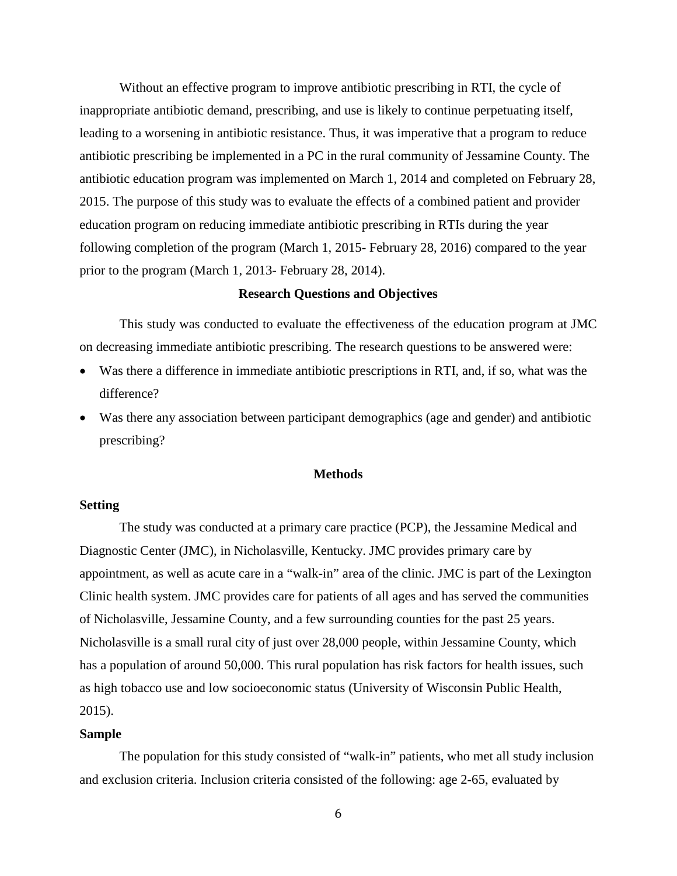Without an effective program to improve antibiotic prescribing in RTI, the cycle of inappropriate antibiotic demand, prescribing, and use is likely to continue perpetuating itself, leading to a worsening in antibiotic resistance. Thus, it was imperative that a program to reduce antibiotic prescribing be implemented in a PC in the rural community of Jessamine County. The antibiotic education program was implemented on March 1, 2014 and completed on February 28, 2015. The purpose of this study was to evaluate the effects of a combined patient and provider education program on reducing immediate antibiotic prescribing in RTIs during the year following completion of the program (March 1, 2015- February 28, 2016) compared to the year prior to the program (March 1, 2013- February 28, 2014).

### **Research Questions and Objectives**

<span id="page-10-0"></span>This study was conducted to evaluate the effectiveness of the education program at JMC on decreasing immediate antibiotic prescribing. The research questions to be answered were:

- Was there a difference in immediate antibiotic prescriptions in RTI, and, if so, what was the difference?
- Was there any association between participant demographics (age and gender) and antibiotic prescribing?

# **Methods**

### <span id="page-10-1"></span>**Setting**

The study was conducted at a primary care practice (PCP), the Jessamine Medical and Diagnostic Center (JMC), in Nicholasville, Kentucky. JMC provides primary care by appointment, as well as acute care in a "walk-in" area of the clinic. JMC is part of the Lexington Clinic health system. JMC provides care for patients of all ages and has served the communities of Nicholasville, Jessamine County, and a few surrounding counties for the past 25 years. Nicholasville is a small rural city of just over 28,000 people, within Jessamine County, which has a population of around 50,000. This rural population has risk factors for health issues, such as high tobacco use and low socioeconomic status (University of Wisconsin Public Health, 2015).

#### **Sample**

The population for this study consisted of "walk-in" patients, who met all study inclusion and exclusion criteria. Inclusion criteria consisted of the following: age 2-65, evaluated by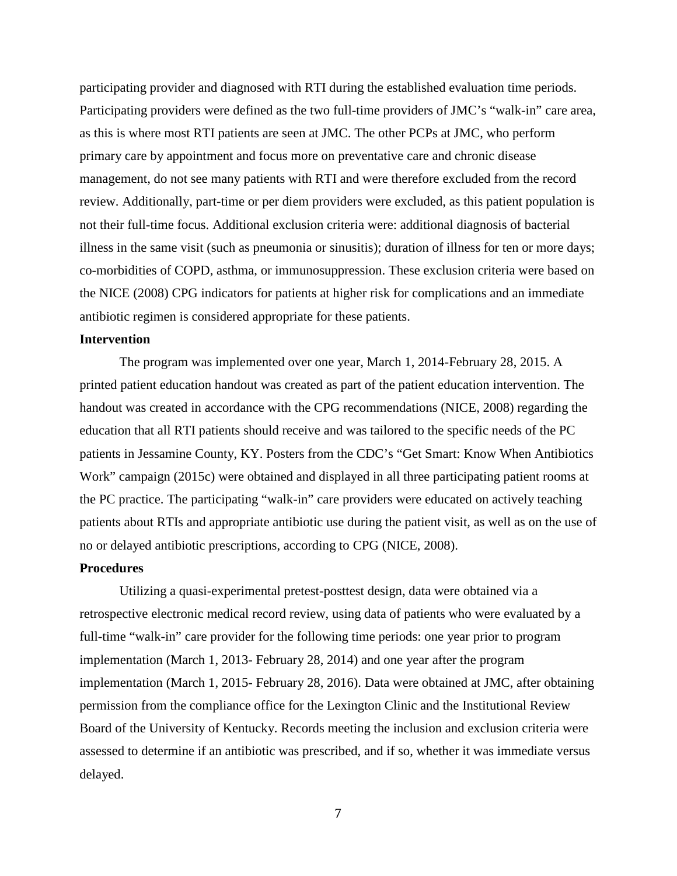participating provider and diagnosed with RTI during the established evaluation time periods. Participating providers were defined as the two full-time providers of JMC's "walk-in" care area, as this is where most RTI patients are seen at JMC. The other PCPs at JMC, who perform primary care by appointment and focus more on preventative care and chronic disease management, do not see many patients with RTI and were therefore excluded from the record review. Additionally, part-time or per diem providers were excluded, as this patient population is not their full-time focus. Additional exclusion criteria were: additional diagnosis of bacterial illness in the same visit (such as pneumonia or sinusitis); duration of illness for ten or more days; co-morbidities of COPD, asthma, or immunosuppression. These exclusion criteria were based on the NICE (2008) CPG indicators for patients at higher risk for complications and an immediate antibiotic regimen is considered appropriate for these patients.

#### **Intervention**

The program was implemented over one year, March 1, 2014-February 28, 2015. A printed patient education handout was created as part of the patient education intervention. The handout was created in accordance with the CPG recommendations (NICE, 2008) regarding the education that all RTI patients should receive and was tailored to the specific needs of the PC patients in Jessamine County, KY. Posters from the CDC's "Get Smart: Know When Antibiotics Work" campaign (2015c) were obtained and displayed in all three participating patient rooms at the PC practice. The participating "walk-in" care providers were educated on actively teaching patients about RTIs and appropriate antibiotic use during the patient visit, as well as on the use of no or delayed antibiotic prescriptions, according to CPG (NICE, 2008).

# **Procedures**

Utilizing a quasi-experimental pretest-posttest design, data were obtained via a retrospective electronic medical record review, using data of patients who were evaluated by a full-time "walk-in" care provider for the following time periods: one year prior to program implementation (March 1, 2013- February 28, 2014) and one year after the program implementation (March 1, 2015- February 28, 2016). Data were obtained at JMC, after obtaining permission from the compliance office for the Lexington Clinic and the Institutional Review Board of the University of Kentucky. Records meeting the inclusion and exclusion criteria were assessed to determine if an antibiotic was prescribed, and if so, whether it was immediate versus delayed.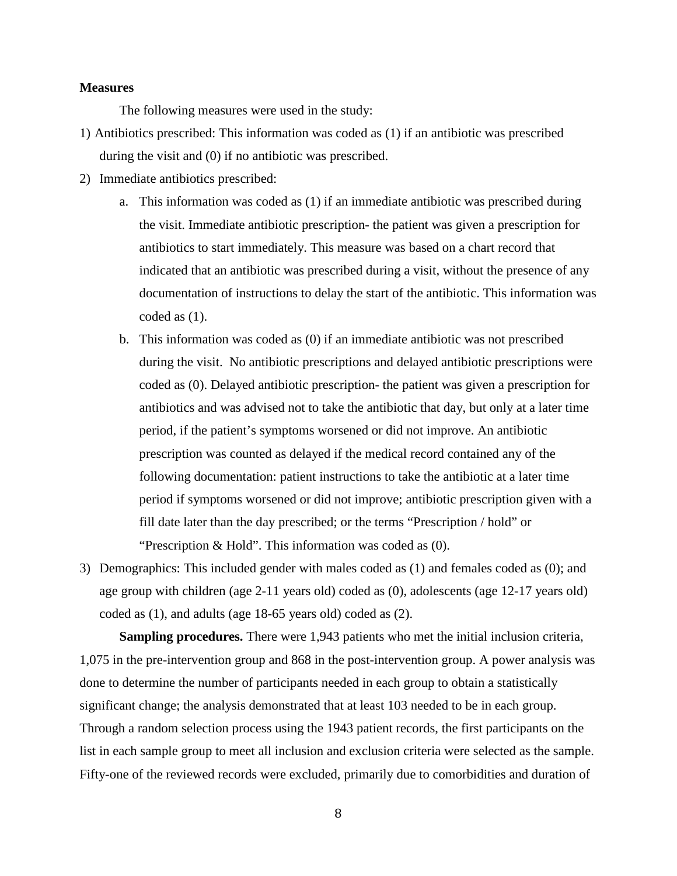### **Measures**

The following measures were used in the study:

- 1) Antibiotics prescribed: This information was coded as (1) if an antibiotic was prescribed during the visit and (0) if no antibiotic was prescribed.
- 2) Immediate antibiotics prescribed:
	- a. This information was coded as (1) if an immediate antibiotic was prescribed during the visit. Immediate antibiotic prescription- the patient was given a prescription for antibiotics to start immediately. This measure was based on a chart record that indicated that an antibiotic was prescribed during a visit, without the presence of any documentation of instructions to delay the start of the antibiotic. This information was coded as (1).
	- b. This information was coded as (0) if an immediate antibiotic was not prescribed during the visit. No antibiotic prescriptions and delayed antibiotic prescriptions were coded as (0). Delayed antibiotic prescription- the patient was given a prescription for antibiotics and was advised not to take the antibiotic that day, but only at a later time period, if the patient's symptoms worsened or did not improve. An antibiotic prescription was counted as delayed if the medical record contained any of the following documentation: patient instructions to take the antibiotic at a later time period if symptoms worsened or did not improve; antibiotic prescription given with a fill date later than the day prescribed; or the terms "Prescription / hold" or "Prescription & Hold". This information was coded as (0).
- 3) Demographics: This included gender with males coded as (1) and females coded as (0); and age group with children (age 2-11 years old) coded as (0), adolescents (age 12-17 years old) coded as (1), and adults (age 18-65 years old) coded as (2).

**Sampling procedures.** There were 1,943 patients who met the initial inclusion criteria, 1,075 in the pre-intervention group and 868 in the post-intervention group. A power analysis was done to determine the number of participants needed in each group to obtain a statistically significant change; the analysis demonstrated that at least 103 needed to be in each group. Through a random selection process using the 1943 patient records, the first participants on the list in each sample group to meet all inclusion and exclusion criteria were selected as the sample. Fifty-one of the reviewed records were excluded, primarily due to comorbidities and duration of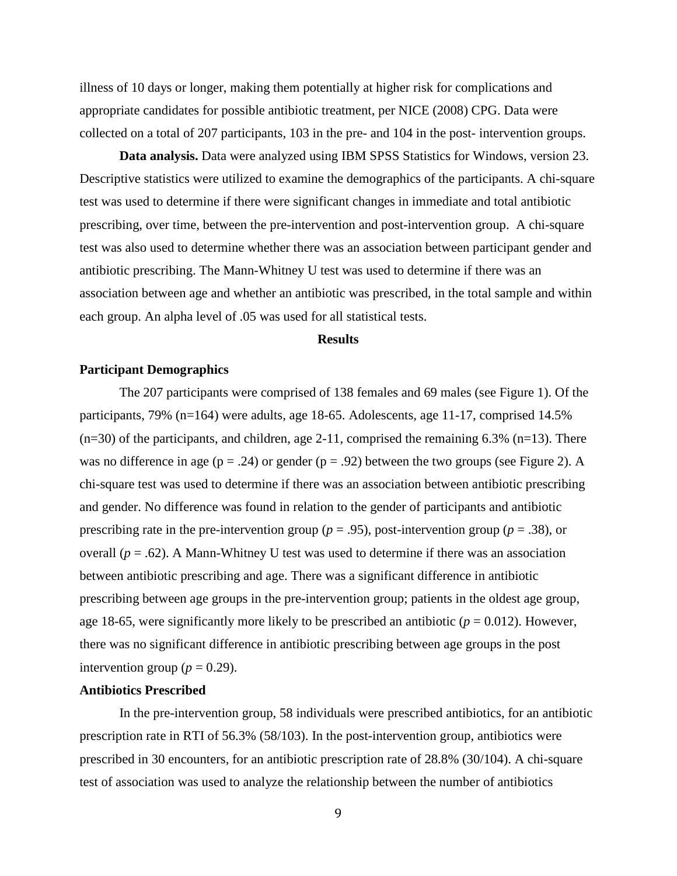illness of 10 days or longer, making them potentially at higher risk for complications and appropriate candidates for possible antibiotic treatment, per NICE (2008) CPG. Data were collected on a total of 207 participants, 103 in the pre- and 104 in the post- intervention groups.

**Data analysis.** Data were analyzed using IBM SPSS Statistics for Windows, version 23. Descriptive statistics were utilized to examine the demographics of the participants. A chi-square test was used to determine if there were significant changes in immediate and total antibiotic prescribing, over time, between the pre-intervention and post-intervention group. A chi-square test was also used to determine whether there was an association between participant gender and antibiotic prescribing. The Mann-Whitney U test was used to determine if there was an association between age and whether an antibiotic was prescribed, in the total sample and within each group. An alpha level of .05 was used for all statistical tests.

#### **Results**

#### <span id="page-13-0"></span>**Participant Demographics**

The 207 participants were comprised of 138 females and 69 males (see Figure 1). Of the participants, 79% (n=164) were adults, age 18-65. Adolescents, age 11-17, comprised 14.5%  $(n=30)$  of the participants, and children, age 2-11, comprised the remaining 6.3% (n=13). There was no difference in age  $(p = .24)$  or gender  $(p = .92)$  between the two groups (see Figure 2). A chi-square test was used to determine if there was an association between antibiotic prescribing and gender. No difference was found in relation to the gender of participants and antibiotic prescribing rate in the pre-intervention group ( $p = .95$ ), post-intervention group ( $p = .38$ ), or overall ( $p = .62$ ). A Mann-Whitney U test was used to determine if there was an association between antibiotic prescribing and age. There was a significant difference in antibiotic prescribing between age groups in the pre-intervention group; patients in the oldest age group, age 18-65, were significantly more likely to be prescribed an antibiotic  $(p = 0.012)$ . However, there was no significant difference in antibiotic prescribing between age groups in the post intervention group ( $p = 0.29$ ).

### **Antibiotics Prescribed**

In the pre-intervention group, 58 individuals were prescribed antibiotics, for an antibiotic prescription rate in RTI of 56.3% (58/103). In the post-intervention group, antibiotics were prescribed in 30 encounters, for an antibiotic prescription rate of 28.8% (30/104). A chi-square test of association was used to analyze the relationship between the number of antibiotics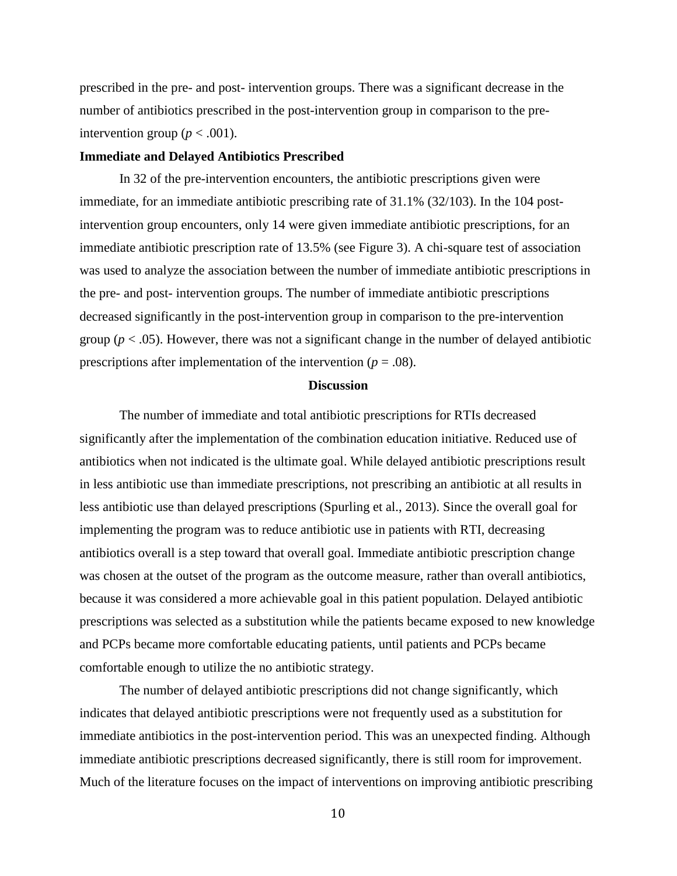prescribed in the pre- and post- intervention groups. There was a significant decrease in the number of antibiotics prescribed in the post-intervention group in comparison to the preintervention group ( $p < .001$ ).

#### **Immediate and Delayed Antibiotics Prescribed**

In 32 of the pre-intervention encounters, the antibiotic prescriptions given were immediate, for an immediate antibiotic prescribing rate of 31.1% (32/103). In the 104 postintervention group encounters, only 14 were given immediate antibiotic prescriptions, for an immediate antibiotic prescription rate of 13.5% (see Figure 3). A chi-square test of association was used to analyze the association between the number of immediate antibiotic prescriptions in the pre- and post- intervention groups. The number of immediate antibiotic prescriptions decreased significantly in the post-intervention group in comparison to the pre-intervention group ( $p < .05$ ). However, there was not a significant change in the number of delayed antibiotic prescriptions after implementation of the intervention  $(p = .08)$ .

### **Discussion**

<span id="page-14-0"></span>The number of immediate and total antibiotic prescriptions for RTIs decreased significantly after the implementation of the combination education initiative. Reduced use of antibiotics when not indicated is the ultimate goal. While delayed antibiotic prescriptions result in less antibiotic use than immediate prescriptions, not prescribing an antibiotic at all results in less antibiotic use than delayed prescriptions (Spurling et al., 2013). Since the overall goal for implementing the program was to reduce antibiotic use in patients with RTI, decreasing antibiotics overall is a step toward that overall goal. Immediate antibiotic prescription change was chosen at the outset of the program as the outcome measure, rather than overall antibiotics, because it was considered a more achievable goal in this patient population. Delayed antibiotic prescriptions was selected as a substitution while the patients became exposed to new knowledge and PCPs became more comfortable educating patients, until patients and PCPs became comfortable enough to utilize the no antibiotic strategy.

The number of delayed antibiotic prescriptions did not change significantly, which indicates that delayed antibiotic prescriptions were not frequently used as a substitution for immediate antibiotics in the post-intervention period. This was an unexpected finding. Although immediate antibiotic prescriptions decreased significantly, there is still room for improvement. Much of the literature focuses on the impact of interventions on improving antibiotic prescribing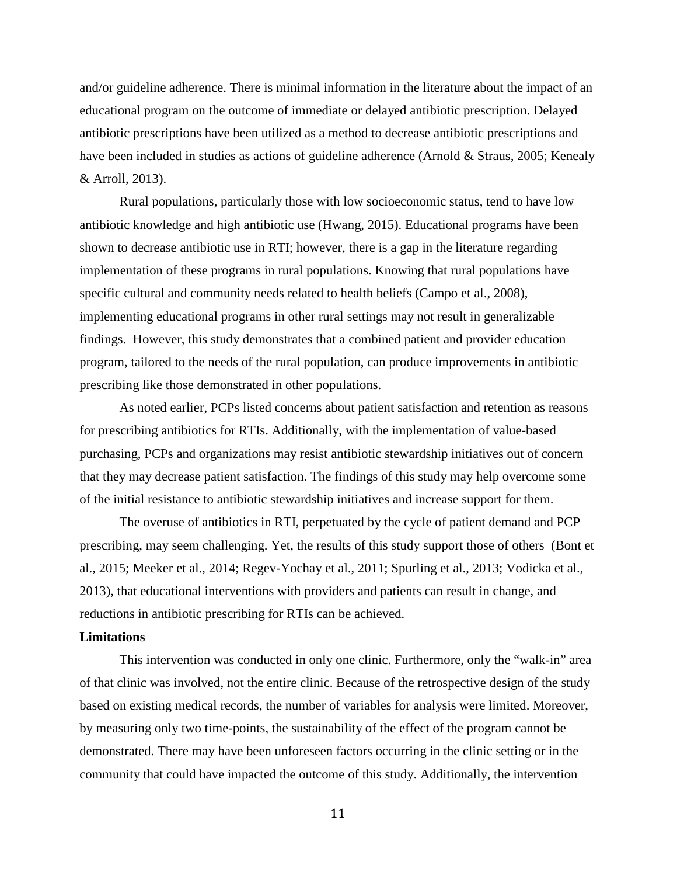and/or guideline adherence. There is minimal information in the literature about the impact of an educational program on the outcome of immediate or delayed antibiotic prescription. Delayed antibiotic prescriptions have been utilized as a method to decrease antibiotic prescriptions and have been included in studies as actions of guideline adherence (Arnold & Straus, 2005; Kenealy & Arroll, 2013).

Rural populations, particularly those with low socioeconomic status, tend to have low antibiotic knowledge and high antibiotic use (Hwang, 2015). Educational programs have been shown to decrease antibiotic use in RTI; however, there is a gap in the literature regarding implementation of these programs in rural populations. Knowing that rural populations have specific cultural and community needs related to health beliefs (Campo et al., 2008), implementing educational programs in other rural settings may not result in generalizable findings. However, this study demonstrates that a combined patient and provider education program, tailored to the needs of the rural population, can produce improvements in antibiotic prescribing like those demonstrated in other populations.

As noted earlier, PCPs listed concerns about patient satisfaction and retention as reasons for prescribing antibiotics for RTIs. Additionally, with the implementation of value-based purchasing, PCPs and organizations may resist antibiotic stewardship initiatives out of concern that they may decrease patient satisfaction. The findings of this study may help overcome some of the initial resistance to antibiotic stewardship initiatives and increase support for them.

The overuse of antibiotics in RTI, perpetuated by the cycle of patient demand and PCP prescribing, may seem challenging. Yet, the results of this study support those of others (Bont et al., 2015; Meeker et al., 2014; Regev-Yochay et al., 2011; Spurling et al., 2013; Vodicka et al., 2013), that educational interventions with providers and patients can result in change, and reductions in antibiotic prescribing for RTIs can be achieved.

#### **Limitations**

This intervention was conducted in only one clinic. Furthermore, only the "walk-in" area of that clinic was involved, not the entire clinic. Because of the retrospective design of the study based on existing medical records, the number of variables for analysis were limited. Moreover, by measuring only two time-points, the sustainability of the effect of the program cannot be demonstrated. There may have been unforeseen factors occurring in the clinic setting or in the community that could have impacted the outcome of this study. Additionally, the intervention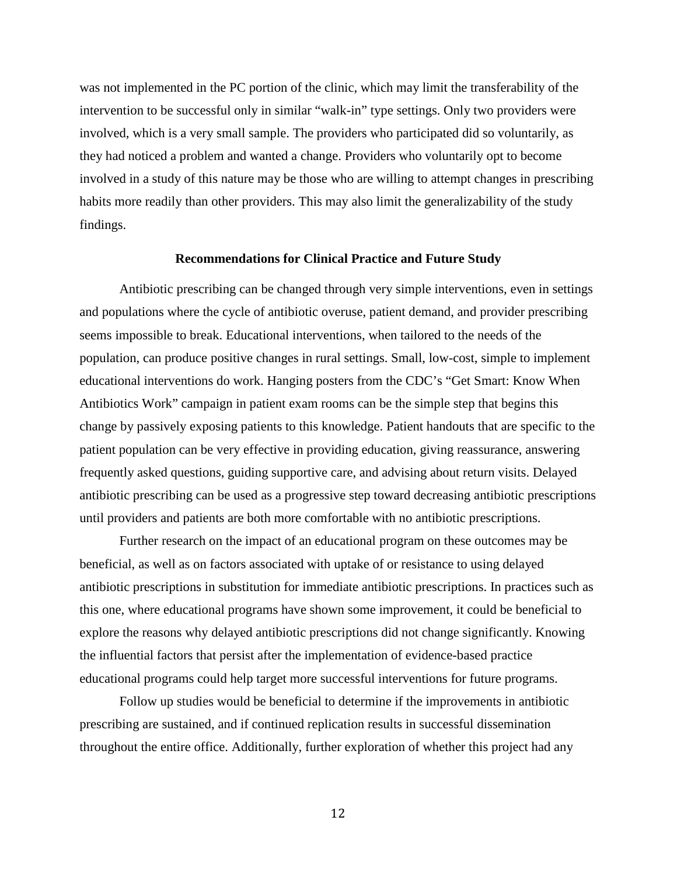was not implemented in the PC portion of the clinic, which may limit the transferability of the intervention to be successful only in similar "walk-in" type settings. Only two providers were involved, which is a very small sample. The providers who participated did so voluntarily, as they had noticed a problem and wanted a change. Providers who voluntarily opt to become involved in a study of this nature may be those who are willing to attempt changes in prescribing habits more readily than other providers. This may also limit the generalizability of the study findings.

#### **Recommendations for Clinical Practice and Future Study**

<span id="page-16-0"></span>Antibiotic prescribing can be changed through very simple interventions, even in settings and populations where the cycle of antibiotic overuse, patient demand, and provider prescribing seems impossible to break. Educational interventions, when tailored to the needs of the population, can produce positive changes in rural settings. Small, low-cost, simple to implement educational interventions do work. Hanging posters from the CDC's "Get Smart: Know When Antibiotics Work" campaign in patient exam rooms can be the simple step that begins this change by passively exposing patients to this knowledge. Patient handouts that are specific to the patient population can be very effective in providing education, giving reassurance, answering frequently asked questions, guiding supportive care, and advising about return visits. Delayed antibiotic prescribing can be used as a progressive step toward decreasing antibiotic prescriptions until providers and patients are both more comfortable with no antibiotic prescriptions.

Further research on the impact of an educational program on these outcomes may be beneficial, as well as on factors associated with uptake of or resistance to using delayed antibiotic prescriptions in substitution for immediate antibiotic prescriptions. In practices such as this one, where educational programs have shown some improvement, it could be beneficial to explore the reasons why delayed antibiotic prescriptions did not change significantly. Knowing the influential factors that persist after the implementation of evidence-based practice educational programs could help target more successful interventions for future programs.

Follow up studies would be beneficial to determine if the improvements in antibiotic prescribing are sustained, and if continued replication results in successful dissemination throughout the entire office. Additionally, further exploration of whether this project had any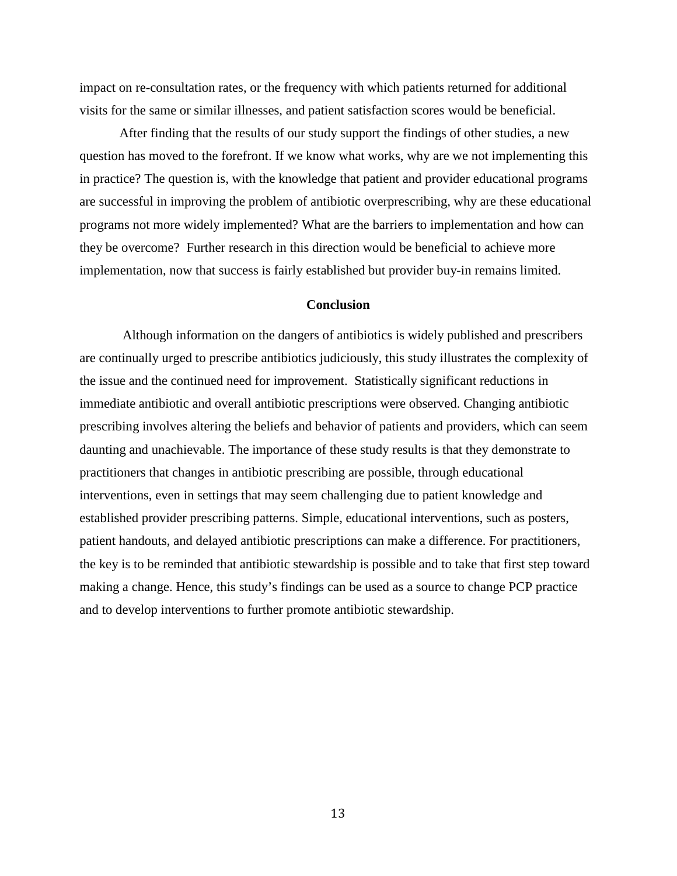impact on re-consultation rates, or the frequency with which patients returned for additional visits for the same or similar illnesses, and patient satisfaction scores would be beneficial.

After finding that the results of our study support the findings of other studies, a new question has moved to the forefront. If we know what works, why are we not implementing this in practice? The question is, with the knowledge that patient and provider educational programs are successful in improving the problem of antibiotic overprescribing, why are these educational programs not more widely implemented? What are the barriers to implementation and how can they be overcome? Further research in this direction would be beneficial to achieve more implementation, now that success is fairly established but provider buy-in remains limited.

### **Conclusion**

<span id="page-17-0"></span>Although information on the dangers of antibiotics is widely published and prescribers are continually urged to prescribe antibiotics judiciously, this study illustrates the complexity of the issue and the continued need for improvement. Statistically significant reductions in immediate antibiotic and overall antibiotic prescriptions were observed. Changing antibiotic prescribing involves altering the beliefs and behavior of patients and providers, which can seem daunting and unachievable. The importance of these study results is that they demonstrate to practitioners that changes in antibiotic prescribing are possible, through educational interventions, even in settings that may seem challenging due to patient knowledge and established provider prescribing patterns. Simple, educational interventions, such as posters, patient handouts, and delayed antibiotic prescriptions can make a difference. For practitioners, the key is to be reminded that antibiotic stewardship is possible and to take that first step toward making a change. Hence, this study's findings can be used as a source to change PCP practice and to develop interventions to further promote antibiotic stewardship.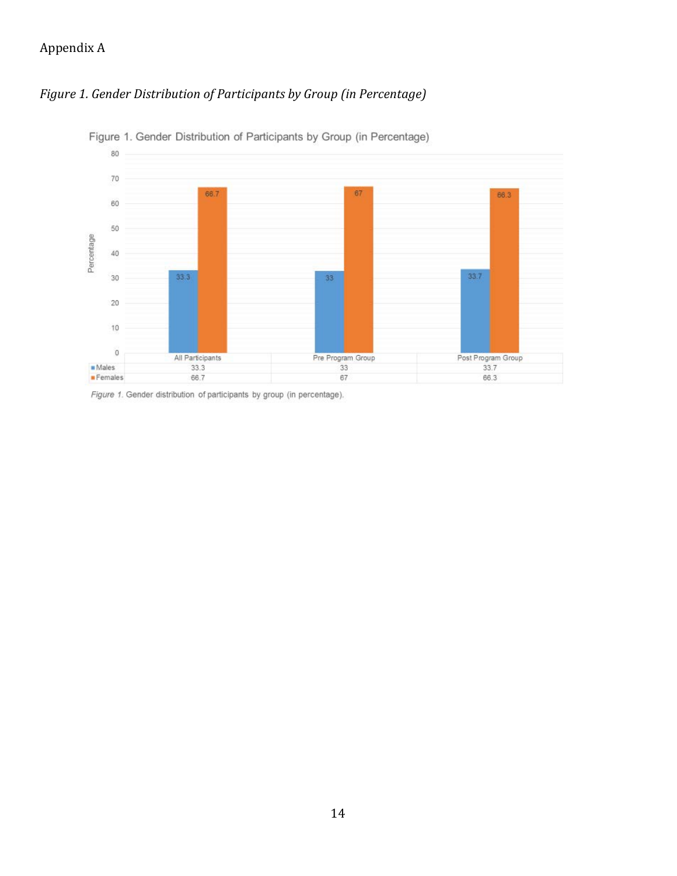# Appendix A

<span id="page-18-0"></span>



Figure 1. Gender Distribution of Participants by Group (in Percentage)

Figure 1. Gender distribution of participants by group (in percentage).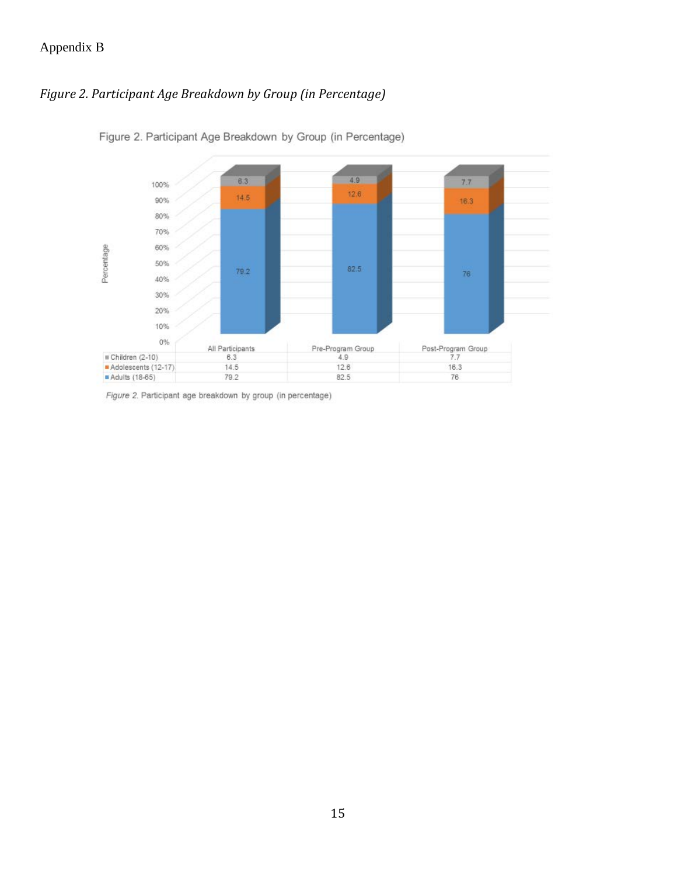# Appendix B

# <span id="page-19-0"></span>*Figure 2. Participant Age Breakdown by Group (in Percentage)*



<span id="page-19-1"></span>Figure 2. Participant Age Breakdown by Group (in Percentage)

Figure 2. Participant age breakdown by group (in percentage)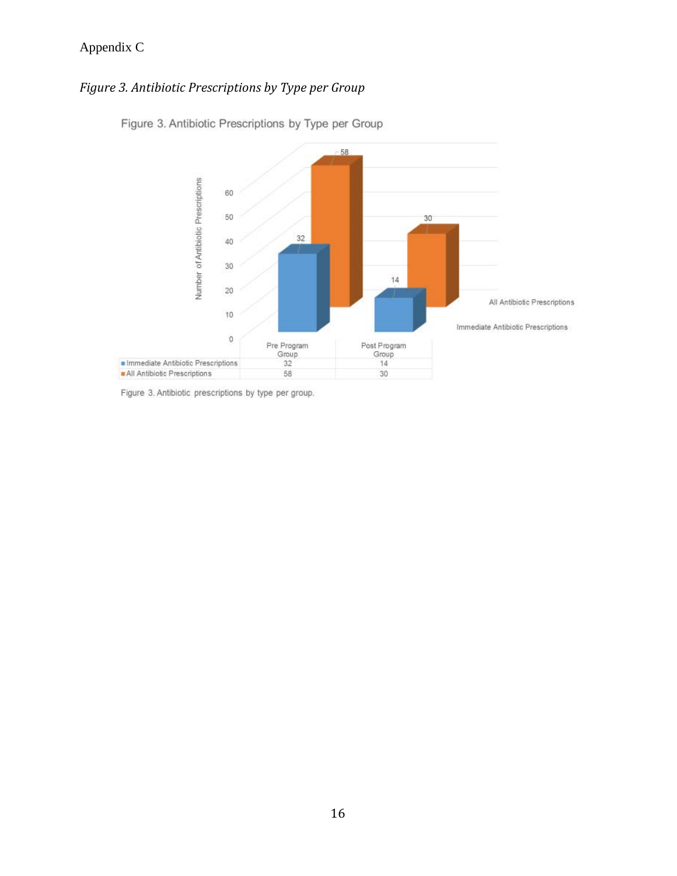# Appendix C

# *Figure 3. Antibiotic Prescriptions by Type per Group*



Figure 3. Antibiotic Prescriptions by Type per Group

Figure 3. Antibiotic prescriptions by type per group.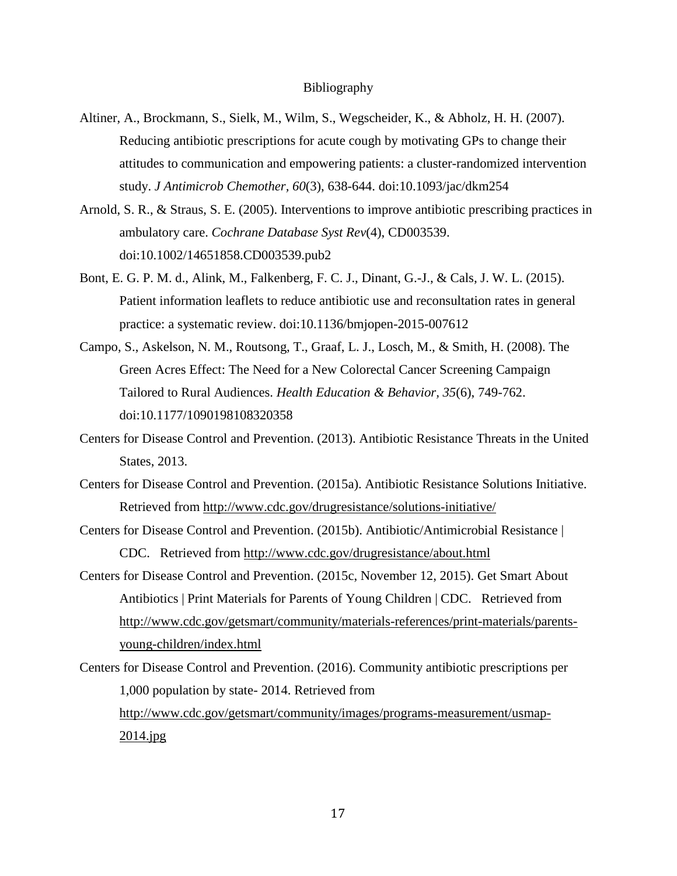#### Bibliography

- <span id="page-21-0"></span>Altiner, A., Brockmann, S., Sielk, M., Wilm, S., Wegscheider, K., & Abholz, H. H. (2007). Reducing antibiotic prescriptions for acute cough by motivating GPs to change their attitudes to communication and empowering patients: a cluster-randomized intervention study. *J Antimicrob Chemother, 60*(3), 638-644. doi:10.1093/jac/dkm254
- Arnold, S. R., & Straus, S. E. (2005). Interventions to improve antibiotic prescribing practices in ambulatory care. *Cochrane Database Syst Rev*(4), CD003539. doi:10.1002/14651858.CD003539.pub2
- Bont, E. G. P. M. d., Alink, M., Falkenberg, F. C. J., Dinant, G.-J., & Cals, J. W. L. (2015). Patient information leaflets to reduce antibiotic use and reconsultation rates in general practice: a systematic review. doi:10.1136/bmjopen-2015-007612
- Campo, S., Askelson, N. M., Routsong, T., Graaf, L. J., Losch, M., & Smith, H. (2008). The Green Acres Effect: The Need for a New Colorectal Cancer Screening Campaign Tailored to Rural Audiences. *Health Education & Behavior, 35*(6), 749-762. doi:10.1177/1090198108320358
- Centers for Disease Control and Prevention. (2013). Antibiotic Resistance Threats in the United States, 2013.
- Centers for Disease Control and Prevention. (2015a). Antibiotic Resistance Solutions Initiative. Retrieved from<http://www.cdc.gov/drugresistance/solutions-initiative/>
- Centers for Disease Control and Prevention. (2015b). Antibiotic/Antimicrobial Resistance | CDC. Retrieved from<http://www.cdc.gov/drugresistance/about.html>
- Centers for Disease Control and Prevention. (2015c, November 12, 2015). Get Smart About Antibiotics | Print Materials for Parents of Young Children | CDC. Retrieved from [http://www.cdc.gov/getsmart/community/materials-references/print-materials/parents](http://www.cdc.gov/getsmart/community/materials-references/print-materials/parents-young-children/index.html)[young-children/index.html](http://www.cdc.gov/getsmart/community/materials-references/print-materials/parents-young-children/index.html)
- Centers for Disease Control and Prevention. (2016). Community antibiotic prescriptions per 1,000 population by state- 2014. Retrieved from [http://www.cdc.gov/getsmart/community/images/programs-measurement/usmap-](http://www.cdc.gov/getsmart/community/images/programs-measurement/usmap-2014.jpg)[2014.jpg](http://www.cdc.gov/getsmart/community/images/programs-measurement/usmap-2014.jpg)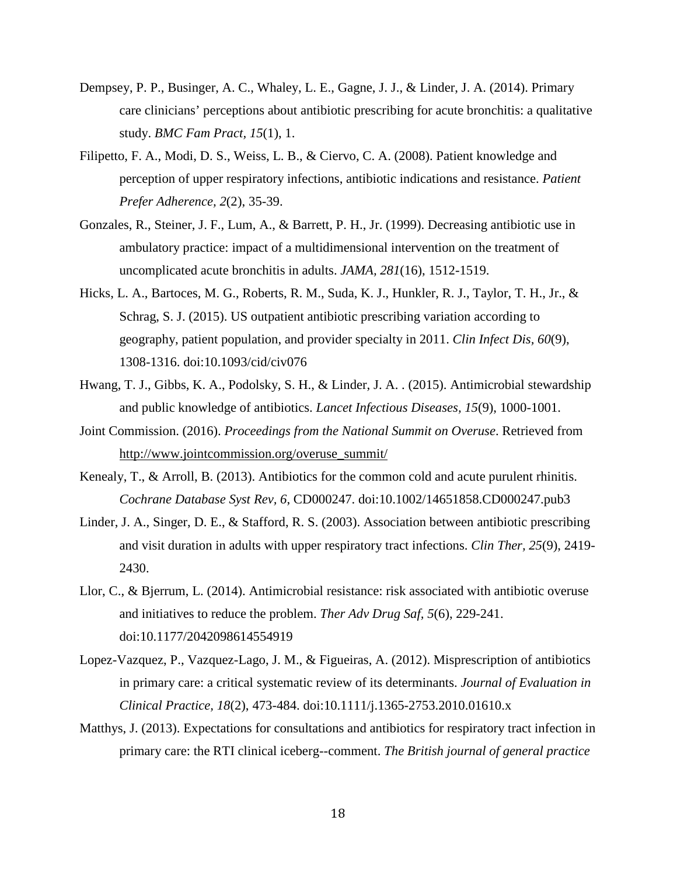- Dempsey, P. P., Businger, A. C., Whaley, L. E., Gagne, J. J., & Linder, J. A. (2014). Primary care clinicians' perceptions about antibiotic prescribing for acute bronchitis: a qualitative study. *BMC Fam Pract, 15*(1), 1.
- Filipetto, F. A., Modi, D. S., Weiss, L. B., & Ciervo, C. A. (2008). Patient knowledge and perception of upper respiratory infections, antibiotic indications and resistance. *Patient Prefer Adherence, 2*(2), 35-39.
- Gonzales, R., Steiner, J. F., Lum, A., & Barrett, P. H., Jr. (1999). Decreasing antibiotic use in ambulatory practice: impact of a multidimensional intervention on the treatment of uncomplicated acute bronchitis in adults. *JAMA, 281*(16), 1512-1519.
- Hicks, L. A., Bartoces, M. G., Roberts, R. M., Suda, K. J., Hunkler, R. J., Taylor, T. H., Jr., & Schrag, S. J. (2015). US outpatient antibiotic prescribing variation according to geography, patient population, and provider specialty in 2011. *Clin Infect Dis, 60*(9), 1308-1316. doi:10.1093/cid/civ076
- Hwang, T. J., Gibbs, K. A., Podolsky, S. H., & Linder, J. A. . (2015). Antimicrobial stewardship and public knowledge of antibiotics. *Lancet Infectious Diseases, 15*(9), 1000-1001.
- Joint Commission. (2016). *Proceedings from the National Summit on Overuse*. Retrieved from [http://www.jointcommission.org/overuse\\_summit/](http://www.jointcommission.org/overuse_summit/)
- Kenealy, T., & Arroll, B. (2013). Antibiotics for the common cold and acute purulent rhinitis. *Cochrane Database Syst Rev, 6*, CD000247. doi:10.1002/14651858.CD000247.pub3
- Linder, J. A., Singer, D. E., & Stafford, R. S. (2003). Association between antibiotic prescribing and visit duration in adults with upper respiratory tract infections. *Clin Ther, 25*(9), 2419- 2430.
- Llor, C., & Bjerrum, L. (2014). Antimicrobial resistance: risk associated with antibiotic overuse and initiatives to reduce the problem. *Ther Adv Drug Saf, 5*(6), 229-241. doi:10.1177/2042098614554919
- Lopez-Vazquez, P., Vazquez-Lago, J. M., & Figueiras, A. (2012). Misprescription of antibiotics in primary care: a critical systematic review of its determinants. *Journal of Evaluation in Clinical Practice, 18*(2), 473-484. doi:10.1111/j.1365-2753.2010.01610.x
- Matthys, J. (2013). Expectations for consultations and antibiotics for respiratory tract infection in primary care: the RTI clinical iceberg--comment. *The British journal of general practice*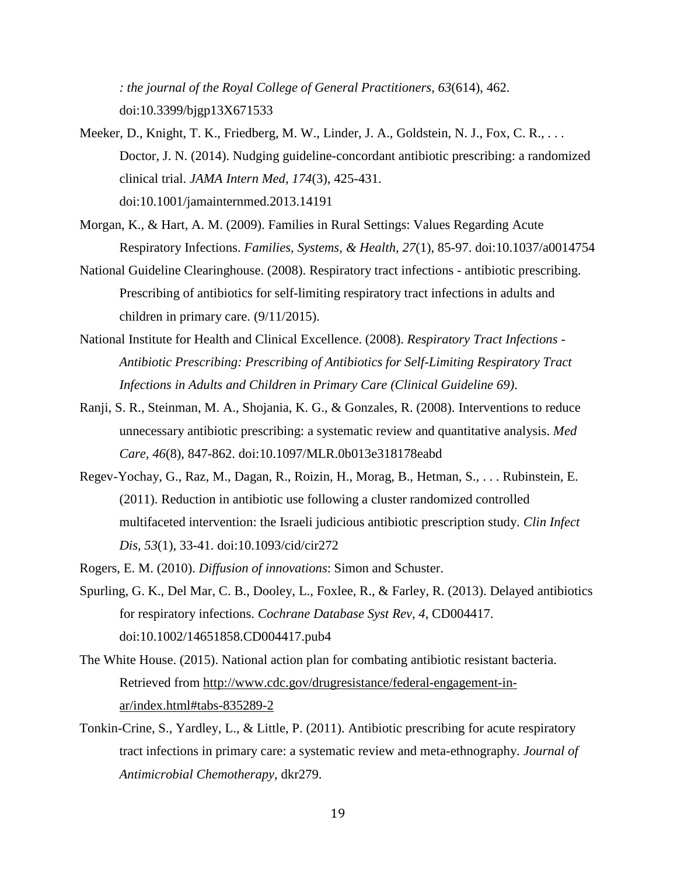*: the journal of the Royal College of General Practitioners, 63*(614), 462. doi:10.3399/bjgp13X671533

- Meeker, D., Knight, T. K., Friedberg, M. W., Linder, J. A., Goldstein, N. J., Fox, C. R., . . . Doctor, J. N. (2014). Nudging guideline-concordant antibiotic prescribing: a randomized clinical trial. *JAMA Intern Med, 174*(3), 425-431. doi:10.1001/jamainternmed.2013.14191
- Morgan, K., & Hart, A. M. (2009). Families in Rural Settings: Values Regarding Acute Respiratory Infections. *Families, Systems, & Health, 27*(1), 85-97. doi:10.1037/a0014754
- National Guideline Clearinghouse. (2008). Respiratory tract infections antibiotic prescribing. Prescribing of antibiotics for self-limiting respiratory tract infections in adults and children in primary care. (9/11/2015).
- National Institute for Health and Clinical Excellence. (2008). *Respiratory Tract Infections - Antibiotic Prescribing: Prescribing of Antibiotics for Self-Limiting Respiratory Tract Infections in Adults and Children in Primary Care (Clinical Guideline 69)*.
- Ranji, S. R., Steinman, M. A., Shojania, K. G., & Gonzales, R. (2008). Interventions to reduce unnecessary antibiotic prescribing: a systematic review and quantitative analysis. *Med Care, 46*(8), 847-862. doi:10.1097/MLR.0b013e318178eabd
- Regev-Yochay, G., Raz, M., Dagan, R., Roizin, H., Morag, B., Hetman, S., . . . Rubinstein, E. (2011). Reduction in antibiotic use following a cluster randomized controlled multifaceted intervention: the Israeli judicious antibiotic prescription study. *Clin Infect Dis, 53*(1), 33-41. doi:10.1093/cid/cir272
- Rogers, E. M. (2010). *Diffusion of innovations*: Simon and Schuster.
- Spurling, G. K., Del Mar, C. B., Dooley, L., Foxlee, R., & Farley, R. (2013). Delayed antibiotics for respiratory infections. *Cochrane Database Syst Rev, 4*, CD004417. doi:10.1002/14651858.CD004417.pub4
- The White House. (2015). National action plan for combating antibiotic resistant bacteria. Retrieved from [http://www.cdc.gov/drugresistance/federal-engagement-in](http://www.cdc.gov/drugresistance/federal-engagement-in-ar/index.html#tabs-835289-2)[ar/index.html#tabs-835289-2](http://www.cdc.gov/drugresistance/federal-engagement-in-ar/index.html#tabs-835289-2)
- Tonkin-Crine, S., Yardley, L., & Little, P. (2011). Antibiotic prescribing for acute respiratory tract infections in primary care: a systematic review and meta-ethnography. *Journal of Antimicrobial Chemotherapy*, dkr279.